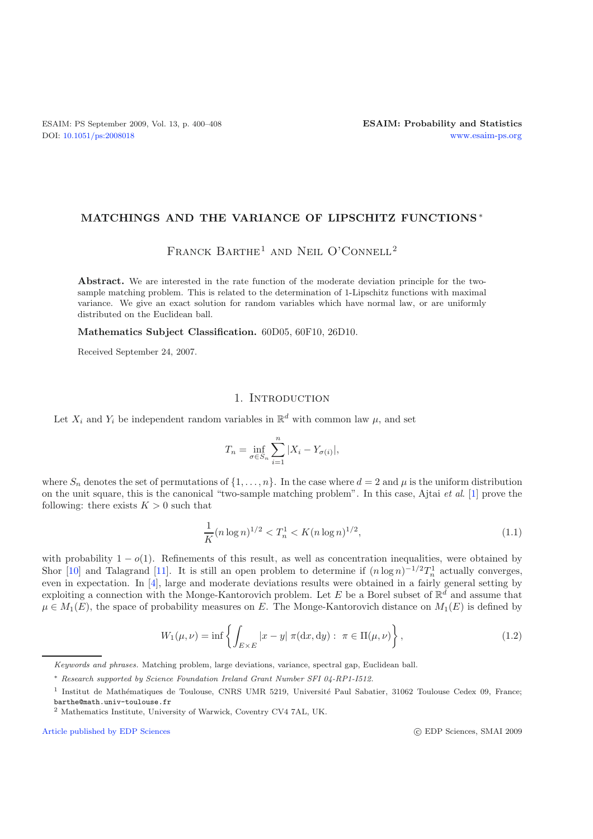## **MATCHINGS AND THE VARIANCE OF LIPSCHITZ FUNCTIONS** ∗

# FRANCK BARTHE<sup>1</sup> AND NEIL O'CONNELL<sup>2</sup>

**Abstract.** We are interested in the rate function of the moderate deviation principle for the twosample matching problem. This is related to the determination of 1-Lipschitz functions with maximal variance. We give an exact solution for random variables which have normal law, or are uniformly distributed on the Euclidean ball.

**Mathematics Subject Classification.** 60D05, 60F10, 26D10.

Received September 24, 2007.

# 1. INTRODUCTION

Let  $X_i$  and  $Y_i$  be independent random variables in  $\mathbb{R}^d$  with common law  $\mu$ , and set

$$
T_n = \inf_{\sigma \in S_n} \sum_{i=1}^n |X_i - Y_{\sigma(i)}|,
$$

where  $S_n$  denotes the set of permutations of  $\{1,\ldots,n\}$ . In the case where  $d=2$  and  $\mu$  is the uniform distribution on the unit square, this is the canonical "two-sample matching problem". In this case, Ajtai *et al*. [\[1\]](#page-8-0) prove the following: there exists  $K > 0$  such that

$$
\frac{1}{K}(n\log n)^{1/2} < T_n^1 < K(n\log n)^{1/2},\tag{1.1}
$$

with probability  $1 - o(1)$ . Refinements of this result, as well as concentration inequalities, were obtained by Shor [\[10\]](#page-8-1) and Talagrand [\[11\]](#page-8-2). It is still an open problem to determine if  $(n \log n)^{-1/2} T_n^1$  actually converges, even in expectation. In [\[4](#page-8-3)], large and moderate deviations results were obtained in a fairly general setting by exploiting a connection with the Monge-Kantorovich problem. Let E be a Borel subset of  $\mathbb{R}^d$  and assume that  $\mu \in M_1(E)$ , the space of probability measures on E. The Monge-Kantorovich distance on  $M_1(E)$  is defined by

$$
W_1(\mu, \nu) = \inf \left\{ \int_{E \times E} |x - y| \, \pi(\mathrm{d}x, \mathrm{d}y) : \, \pi \in \Pi(\mu, \nu) \right\},\tag{1.2}
$$

[Article published by EDP Sciences](http://www.edpsciences.org) c EDP Sciences c EDP Sciences, SMAI 2009

*Keywords and phrases.* Matching problem, large deviations, variance, spectral gap, Euclidean ball.

<sup>∗</sup> *Research supported by Science Foundation Ireland Grant Number SFI 04-RP1-I512.*

 $1$  Institut de Mathématiques de Toulouse, CNRS UMR 5219, Université Paul Sabatier, 31062 Toulouse Cedex 09, France; barthe@math.univ-toulouse.fr

<sup>2</sup> Mathematics Institute, University of Warwick, Coventry CV4 7AL, UK.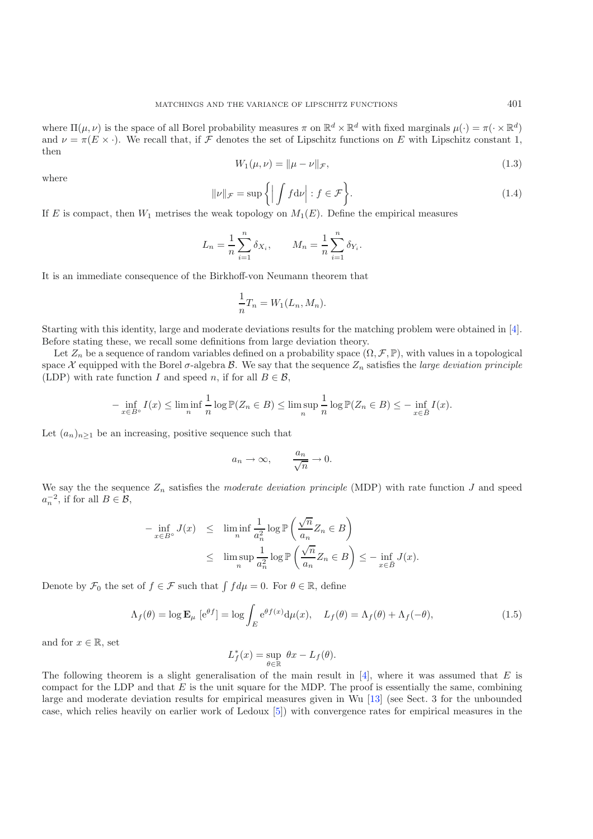where  $\Pi(\mu, \nu)$  is the space of all Borel probability measures  $\pi$  on  $\mathbb{R}^d \times \mathbb{R}^d$  with fixed marginals  $\mu(\cdot) = \pi(\cdot \times \mathbb{R}^d)$ and  $\nu = \pi(E \times \cdot)$ . We recall that, if F denotes the set of Lipschitz functions on E with Lipschitz constant 1, then

$$
W_1(\mu, \nu) = \|\mu - \nu\|_{\mathcal{F}},\tag{1.3}
$$

where

$$
\|\nu\|_{\mathcal{F}} = \sup \left\{ \left| \int f d\nu \right| : f \in \mathcal{F} \right\}.
$$
\n(1.4)

If E is compact, then  $W_1$  metrises the weak topology on  $M_1(E)$ . Define the empirical measures

$$
L_n = \frac{1}{n} \sum_{i=1}^n \delta_{X_i}, \qquad M_n = \frac{1}{n} \sum_{i=1}^n \delta_{Y_i}.
$$

It is an immediate consequence of the Birkhoff-von Neumann theorem that

$$
\frac{1}{n}T_n = W_1(L_n, M_n).
$$

Starting with this identity, large and moderate deviations results for the matching problem were obtained in [\[4\]](#page-8-3). Before stating these, we recall some definitions from large deviation theory.

Let  $Z_n$  be a sequence of random variables defined on a probability space  $(\Omega, \mathcal{F}, \mathbb{P})$ , with values in a topological space X equipped with the Borel  $\sigma$ -algebra B. We say that the sequence  $Z_n$  satisfies the *large deviation principle* (LDP) with rate function I and speed n, if for all  $B \in \mathcal{B}$ ,

$$
-\inf_{x\in B^{\circ}}I(x)\leq \liminf_{n}\frac{1}{n}\log \mathbb{P}(Z_n\in B)\leq \limsup_{n}\frac{1}{n}\log \mathbb{P}(Z_n\in B)\leq -\inf_{x\in \bar{B}}I(x).
$$

Let  $(a_n)_{n\geq 1}$  be an increasing, positive sequence such that

$$
a_n \to \infty
$$
,  $\frac{a_n}{\sqrt{n}} \to 0$ .

We say the the sequence  $Z_n$  satisfies the *moderate deviation principle* (MDP) with rate function  $J$  and speed  $a_n^{-2}$ , if for all  $B \in \mathcal{B}$ ,

$$
-\inf_{x \in B^{\circ}} J(x) \leq \liminf_{n} \frac{1}{a_n^2} \log \mathbb{P}\left(\frac{\sqrt{n}}{a_n} Z_n \in B\right)
$$
  

$$
\leq \limsup_{n} \frac{1}{a_n^2} \log \mathbb{P}\left(\frac{\sqrt{n}}{a_n} Z_n \in B\right) \leq -\inf_{x \in \overline{B}} J(x).
$$

Denote by  $\mathcal{F}_0$  the set of  $f \in \mathcal{F}$  such that  $\int f d\mu = 0$ . For  $\theta \in \mathbb{R}$ , define

$$
\Lambda_f(\theta) = \log \mathbf{E}_{\mu} \left[ e^{\theta f} \right] = \log \int_E e^{\theta f(x)} d\mu(x), \quad L_f(\theta) = \Lambda_f(\theta) + \Lambda_f(-\theta), \tag{1.5}
$$

and for  $x \in \mathbb{R}$ , set

$$
L_f^*(x) = \sup_{\theta \in \mathbb{R}} \theta x - L_f(\theta).
$$

The following theorem is a slight generalisation of the main result in  $[4]$  $[4]$ , where it was assumed that E is compact for the LDP and that  $E$  is the unit square for the MDP. The proof is essentially the same, combining large and moderate deviation results for empirical measures given in Wu [\[13](#page-8-4)] (see Sect. 3 for the unbounded case, which relies heavily on earlier work of Ledoux [\[5\]](#page-8-5)) with convergence rates for empirical measures in the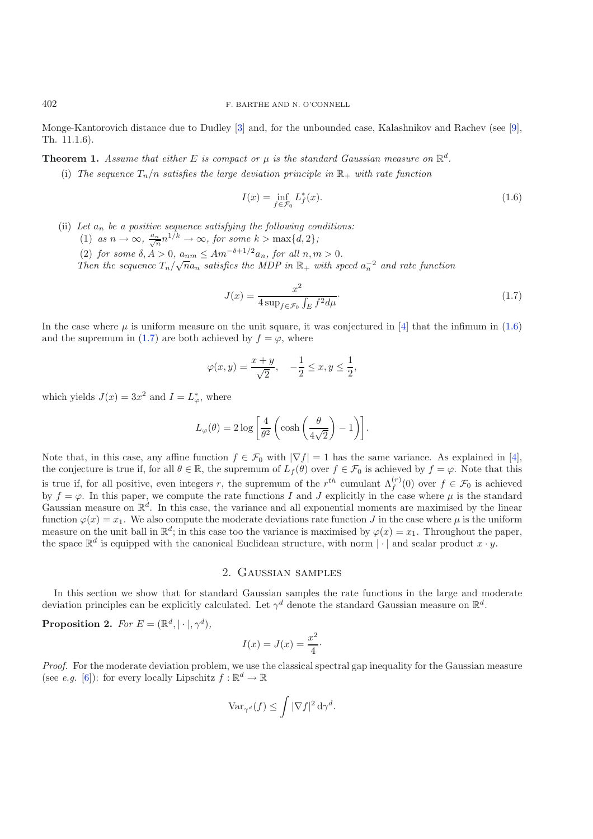Monge-Kantorovich distance due to Dudley [\[3](#page-8-6)] and, for the unbounded case, Kalashnikov and Rachev (see [\[9\]](#page-8-7), Th. 11.1.6).

**Theorem 1.** *Assume that either* E *is compact or*  $\mu$  *is the standard Gaussian measure on*  $\mathbb{R}^d$ .

<span id="page-2-1"></span>(i) The sequence  $T_n/n$  satisfies the large deviation principle in  $\mathbb{R}_+$  with rate function

$$
I(x) = \inf_{f \in \mathcal{F}_0} L_f^*(x). \tag{1.6}
$$

- (ii) *Let* a<sup>n</sup> *be a positive sequence satisfying the following conditions:*
	- (1) *as*  $n \to \infty$ ,  $\frac{a_n}{\sqrt{n}} n^{1/k} \to \infty$ , for some  $k > \max\{d, 2\}$ ;
	- (2) *for some*  $\delta, A > 0$ ,  $a_{nm} \leq Am^{-\delta + 1/2}a_n$ , *for all*  $n, m > 0$ .

*Then the sequence*  $T_n / \sqrt{n} a_n$  *satisfies the MDP in*  $\mathbb{R}_+$  *with speed*  $a_n^{-2}$  *and rate function* 

$$
J(x) = \frac{x^2}{4\sup_{f \in \mathcal{F}_0} \int_E f^2 d\mu}.
$$
\n(1.7)

In the case where  $\mu$  is uniform measure on the unit square, it was conjectured in [\[4](#page-8-3)] that the infimum in [\(1.6\)](#page-2-0) and the supremum in [\(1.7\)](#page-2-1) are both achieved by  $f = \varphi$ , where

$$
\varphi(x,y) = \frac{x+y}{\sqrt{2}}, \quad -\frac{1}{2} \le x, y \le \frac{1}{2},
$$

which yields  $J(x) = 3x^2$  and  $I = L^*_{\varphi}$ , where

$$
L_{\varphi}(\theta) = 2 \log \left[ \frac{4}{\theta^2} \left( \cosh \left( \frac{\theta}{4\sqrt{2}} \right) - 1 \right) \right].
$$

Note that, in this case, any affine function  $f \in \mathcal{F}_0$  with  $|\nabla f| = 1$  has the same variance. As explained in [\[4\]](#page-8-3), the conjecture is true if, for all  $\theta \in \mathbb{R}$ , the supremum of  $L_f(\theta)$  over  $f \in \mathcal{F}_0$  is achieved by  $f = \varphi$ . Note that this is true if, for all positive, even integers r, the supremum of the r<sup>th</sup> cumulant  $\Lambda_f^{(r)}(0)$  over  $f \in \mathcal{F}_0$  is achieved by  $f = \varphi$ . In this paper, we compute the rate functions I and J explicitly in the case where  $\mu$  is the standard Gaussian measure on  $\mathbb{R}^d$ . In this case, the variance and all exponential moments are maximised by the linear function  $\varphi(x) = x_1$ . We also compute the moderate deviations rate function J in the case where  $\mu$  is the uniform measure on the unit ball in  $\mathbb{R}^d$ ; in this case too the variance is maximised by  $\varphi(x) = x_1$ . Throughout the paper, the space  $\mathbb{R}^d$  is equipped with the canonical Euclidean structure, with norm  $|\cdot|$  and scalar product  $x \cdot y$ .

#### 2. Gaussian samples

In this section we show that for standard Gaussian samples the rate functions in the large and moderate deviation principles can be explicitly calculated. Let  $\gamma^d$  denote the standard Gaussian measure on  $\mathbb{R}^d$ .

**Proposition 2.** *For*  $E = (\mathbb{R}^d, | \cdot |, \gamma^d)$ *,* 

$$
I(x) = J(x) = \frac{x^2}{4}.
$$

*Proof.* For the moderate deviation problem, we use the classical spectral gap inequality for the Gaussian measure (see *e.g.* [\[6\]](#page-8-8)): for every locally Lipschitz  $f : \mathbb{R}^d \to \mathbb{R}$ 

$$
\text{Var}_{\gamma^d}(f) \leq \int |\nabla f|^2 \,\mathrm{d} \gamma^d.
$$

<span id="page-2-0"></span>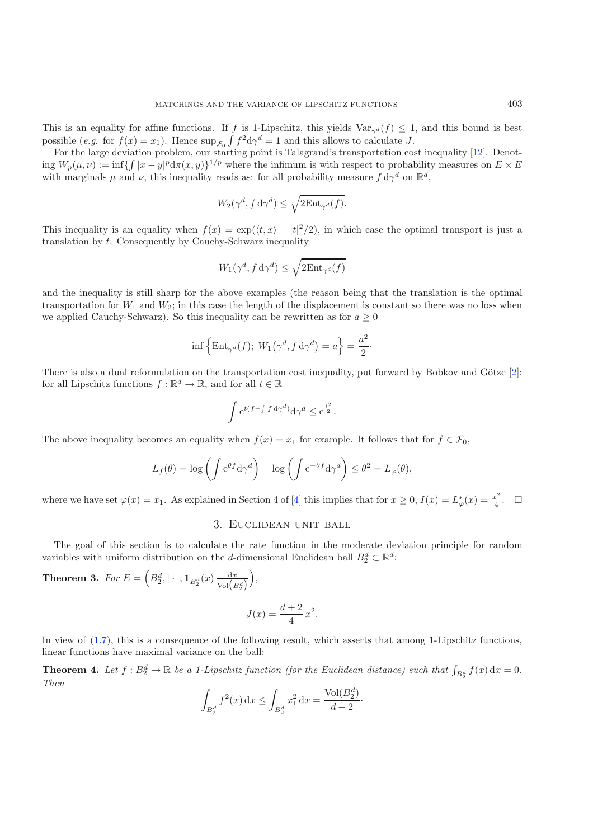This is an equality for affine functions. If f is 1-Lipschitz, this yields  $\text{Var}_{\gamma d}(f) \leq 1$ , and this bound is best possible (*e.g.* for  $f(x) = x_1$ ). Hence  $\sup_{\mathcal{F}_0} \int f^2 d\gamma^d = 1$  and this allows to calculate J.

For the large deviation problem, our starting point is Talagrand's transportation cost inequality [\[12\]](#page-8-9). Denoting  $W_p(\mu, \nu) := \inf \{ \int |x - y|^p d\pi(x, y) \}^{1/p}$  where the infimum is with respect to probability measures on  $E \times E$ with marginals  $\mu$  and  $\nu$ , this inequality reads as: for all probability measure  $f d\gamma^d$  on  $\mathbb{R}^d$ ,

$$
W_2(\gamma^d, f \, \mathrm{d}\gamma^d) \le \sqrt{2 \mathrm{Ent}_{\gamma^d}(f)}.
$$

This inequality is an equality when  $f(x) = \exp(\langle t, x \rangle - |t|^2/2)$ , in which case the optimal transport is just a translation by t. Consequently by Cauchy-Schwarz inequality

$$
W_1(\gamma^d, f \,\mathrm{d}\gamma^d) \le \sqrt{2\mathrm{Ent}_{\gamma^d}(f)}
$$

and the inequality is still sharp for the above examples (the reason being that the translation is the optimal transportation for  $W_1$  and  $W_2$ ; in this case the length of the displacement is constant so there was no loss when we applied Cauchy-Schwarz). So this inequality can be rewritten as for  $a \geq 0$ 

$$
\inf \{ \text{Ent}_{\gamma^d}(f); \ W_1(\gamma^d, f \, d\gamma^d) = a \} = \frac{a^2}{2}.
$$

There is also a dual reformulation on the transportation cost inequality, put forward by Bobkov and Götze  $[2]$ : for all Lipschitz functions  $f : \mathbb{R}^d \to \mathbb{R}$ , and for all  $t \in \mathbb{R}$ 

$$
\int e^{t(f-\int f\,\mathrm{d}\gamma^d)}\mathrm{d}\gamma^d \leq e^{\frac{t^2}{2}}.
$$

The above inequality becomes an equality when  $f(x) = x_1$  for example. It follows that for  $f \in \mathcal{F}_0$ ,

$$
L_f(\theta) = \log \left( \int e^{\theta f} d\gamma^d \right) + \log \left( \int e^{-\theta f} d\gamma^d \right) \le \theta^2 = L_\varphi(\theta),
$$

where we have set  $\varphi(x) = x_1$ . As explained in Section 4 of [\[4\]](#page-8-3) this implies that for  $x \ge 0$ ,  $I(x) = L^*_{\varphi}(x) = \frac{x^2}{4}$ .  $\Box$ 

## 3. Euclidean unit ball

The goal of this section is to calculate the rate function in the moderate deviation principle for random variables with uniform distribution on the d-dimensional Euclidean ball  $B_2^d \subset \mathbb{R}^d$ :

**Theorem 3.** *For*  $E = \left(B_2^d, |\cdot|, 1_{B_2^d}(x) \frac{dx}{\text{Vol}(B_2^d)}\right)$ *,*

$$
J(x) = \frac{d+2}{4}x^2.
$$

In view of [\(1.7\)](#page-2-1), this is a consequence of the following result, which asserts that among 1-Lipschitz functions, linear functions have maximal variance on the ball:

**Theorem 4.** Let  $f : B_2^d \to \mathbb{R}$  be a 1-Lipschitz function (for the Euclidean distance) such that  $\int_{B_2^d} f(x) dx = 0$ . *Then*

$$
\int_{B_2^d} f^2(x) dx \le \int_{B_2^d} x_1^2 dx = \frac{\text{Vol}(B_2^d)}{d+2}.
$$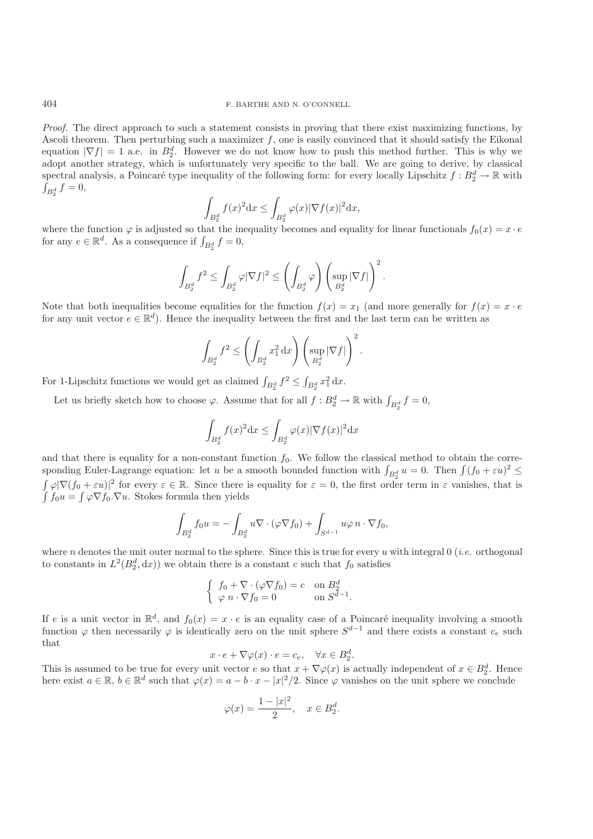*Proof.* The direct approach to such a statement consists in proving that there exist maximizing functions, by Ascoli theorem. Then perturbing such a maximizer  $f$ , one is easily convinced that it should satisfy the Eikonal equation  $|\nabla f| = 1$  a.e. in  $B_2^d$ . However we do not know how to push this method further. This is why we adopt another strategy, which is unfortunately very specific to the ball. We are going to derive, by classical spectral analysis, a Poincaré type inequality of the following form: for every locally Lipschitz  $f : B_2^d \to \mathbb{R}$  with  $\int_{B_2^d} f = 0,$ 

$$
\int_{B_2^d} f(x)^2 dx \le \int_{B_2^d} \varphi(x) |\nabla f(x)|^2 dx,
$$

where the function  $\varphi$  is adjusted so that the inequality becomes and equality for linear functionals  $f_0(x) = x \cdot e$ for any  $e \in \mathbb{R}^d$ . As a consequence if  $\int_{B_2^d} f = 0$ ,

$$
\int_{B_2^d}f^2\leq \int_{B_2^d}\varphi|\nabla f|^2\leq \left(\int_{B_2^d}\varphi\right)\left(\sup_{B_2^d}|\nabla f|\right)^2.
$$

Note that both inequalities become equalities for the function  $f(x) = x_1$  (and more generally for  $f(x) = x \cdot e$ for any unit vector  $e \in \mathbb{R}^d$ . Hence the inequality between the first and the last term can be written as

$$
\int_{B_2^d}f^2\leq \left(\int_{B_2^d}x_1^2\,\mathrm{d} x\right)\left(\sup_{B_2^d}|\nabla f|\right)^2.
$$

For 1-Lipschitz functions we would get as claimed  $\int_{B_2^d} f^2 \le \int_{B_2^d} x_1^2 dx$ .

Let us briefly sketch how to choose  $\varphi$ . Assume that for all  $f : B_2^d \to \mathbb{R}$  with  $\int_{B_2^d} f = 0$ ,

$$
\int_{B_2^d} f(x)^2 dx \le \int_{B_2^d} \varphi(x) |\nabla f(x)|^2 dx
$$

and that there is equality for a non-constant function  $f_0$ . We follow the classical method to obtain the corresponding Euler-Lagrange equation: let u be a smooth bounded function with  $\int_{B_2^d} u = 0$ . Then  $\int (f_0 + \varepsilon u)^2 \leq$  $\int \varphi |\nabla (f_0 + \varepsilon u)|^2$  for every  $\varepsilon \in \mathbb{R}$ . Since there is equality for  $\varepsilon = 0$ , the first order term in  $\varepsilon$  vanishes, that is  $\int f_0 u = \int \varphi \nabla f_0 \cdot \nabla u$ . Stokes formula then yields

$$
\int_{B_2^d} f_0 u = -\int_{B_2^d} u \nabla \cdot (\varphi \nabla f_0) + \int_{S^{d-1}} u \varphi \, n \cdot \nabla f_0,
$$

where n denotes the unit outer normal to the sphere. Since this is true for every u with integral 0 *(i.e.* orthogonal to constants in  $L^2(B_2^d, dx)$  we obtain there is a constant c such that  $f_0$  satisfies

$$
\begin{cases} f_0 + \nabla \cdot (\varphi \nabla f_0) = c & \text{on } B_2^d \\ \varphi \ n \cdot \nabla f_0 = 0 & \text{on } S^{d-1} . \end{cases}
$$

If e is a unit vector in  $\mathbb{R}^d$ , and  $f_0(x) = x \cdot e$  is an equality case of a Poincaré inequality involving a smooth function  $\varphi$  then necessarily  $\varphi$  is identically zero on the unit sphere  $S^{d-1}$  and there exists a constant  $c_e$  such that

$$
x \cdot e + \nabla \varphi(x) \cdot e = c_e, \quad \forall x \in B_2^d.
$$

This is assumed to be true for every unit vector e so that  $x + \nabla \varphi(x)$  is actually independent of  $x \in B_2^d$ . Hence here exist  $a \in \mathbb{R}$ ,  $b \in \mathbb{R}^d$  such that  $\varphi(x) = a - b \cdot x - |x|^2/2$ . Since  $\varphi$  vanishes on the unit sphere we conclude

$$
\varphi(x)=\frac{1-|x|^2}{2},\quad x\in B_2^d.
$$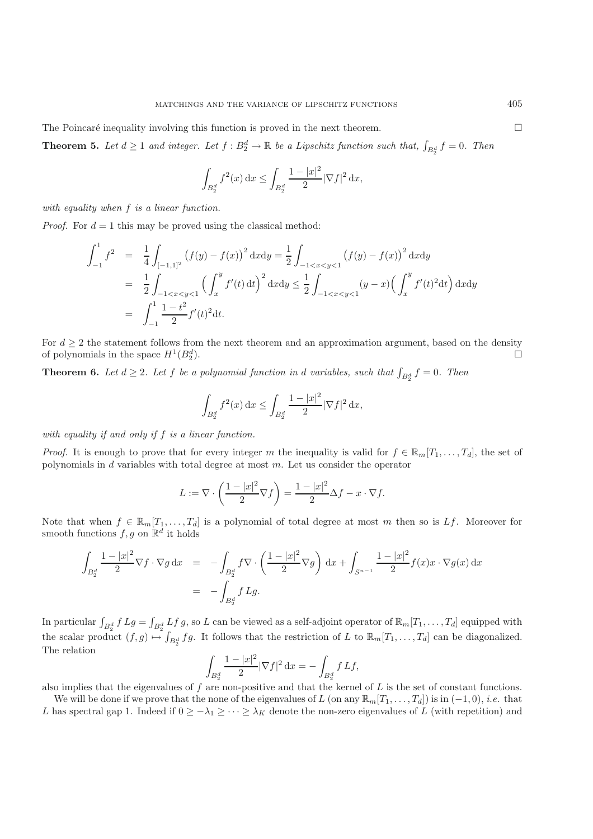<span id="page-5-0"></span>The Poincaré inequality involving this function is proved in the next theorem.

**Theorem 5.** Let  $d \geq 1$  and integer. Let  $f : B_2^d \to \mathbb{R}$  be a Lipschitz function such that,  $\int_{B_2^d} f = 0$ . Then

$$
\int_{B_2^d} f^2(x) dx \le \int_{B_2^d} \frac{1 - |x|^2}{2} |\nabla f|^2 dx,
$$

*with equality when* f *is a linear function.*

*Proof.* For  $d = 1$  this may be proved using the classical method:

$$
\int_{-1}^{1} f^{2} = \frac{1}{4} \int_{[-1,1]^{2}} (f(y) - f(x))^{2} dx dy = \frac{1}{2} \int_{-1 < x < y < 1} (f(y) - f(x))^{2} dx dy
$$
  
\n
$$
= \frac{1}{2} \int_{-1 < x < y < 1} \left( \int_{x}^{y} f'(t) dt \right)^{2} dx dy \le \frac{1}{2} \int_{-1 < x < y < 1} (y - x) \left( \int_{x}^{y} f'(t)^{2} dt \right) dx dy
$$
  
\n
$$
= \int_{-1}^{1} \frac{1 - t^{2}}{2} f'(t)^{2} dt.
$$

For  $d \geq 2$  the statement follows from the next theorem and an approximation argument, based on the density of polynomials in the space  $H^1(B_2^d)$ .  $\Box$ 2).  $\Box$ 

**Theorem 6.** Let  $d \geq 2$ . Let  $f$  be a polynomial function in  $d$  variables, such that  $\int_{B_2^d} f = 0$ . Then

$$
\int_{B_2^d}f^2(x)\,\mathrm{d} x\leq \int_{B_2^d}\frac{1-|x|^2}{2}|\nabla f|^2\,\mathrm{d} x,
$$

*with equality if and only if* f *is a linear function.*

*Proof.* It is enough to prove that for every integer m the inequality is valid for  $f \in \mathbb{R}_m[T_1,\ldots,T_d]$ , the set of polynomials in  $d$  variables with total degree at most  $m$ . Let us consider the operator

$$
L := \nabla \cdot \left(\frac{1 - |x|^2}{2} \nabla f\right) = \frac{1 - |x|^2}{2} \Delta f - x \cdot \nabla f.
$$

Note that when  $f \in \mathbb{R}_m[T_1,\ldots,T_d]$  is a polynomial of total degree at most m then so is Lf. Moreover for smooth functions  $f, g$  on  $\mathbb{R}^d$  it holds

$$
\int_{B_2^d} \frac{1-|x|^2}{2} \nabla f \cdot \nabla g \, dx = -\int_{B_2^d} f \nabla \cdot \left(\frac{1-|x|^2}{2} \nabla g\right) dx + \int_{S^{n-1}} \frac{1-|x|^2}{2} f(x) x \cdot \nabla g(x) \, dx
$$
  
= 
$$
-\int_{B_2^d} f Lg.
$$

In particular  $\int_{B_2^d} f Lg = \int_{B_2^d} Lf g$ , so L can be viewed as a self-adjoint operator of  $\mathbb{R}_m[T_1,\ldots,T_d]$  equipped with the scalar product  $(f,g) \mapsto \int_{B_2^d} fg$ . It follows that the restriction of L to  $\mathbb{R}_m[T_1,\ldots,T_d]$  can be diagonalized. The relation

$$
\int_{B_2^d} \frac{1-|x|^2}{2} |\nabla f|^2 \, \mathrm{d} x = - \int_{B_2^d} f \, {\cal L} f,
$$

also implies that the eigenvalues of  $f$  are non-positive and that the kernel of  $L$  is the set of constant functions.

We will be done if we prove that the none of the eigenvalues of L (on any  $\mathbb{R}_m[T_1,\ldots,T_d]$ ) is in  $(-1,0)$ , *i.e.* that L has spectral gap 1. Indeed if  $0 \geq -\lambda_1 \geq \cdots \geq \lambda_K$  denote the non-zero eigenvalues of L (with repetition) and

 $\Box$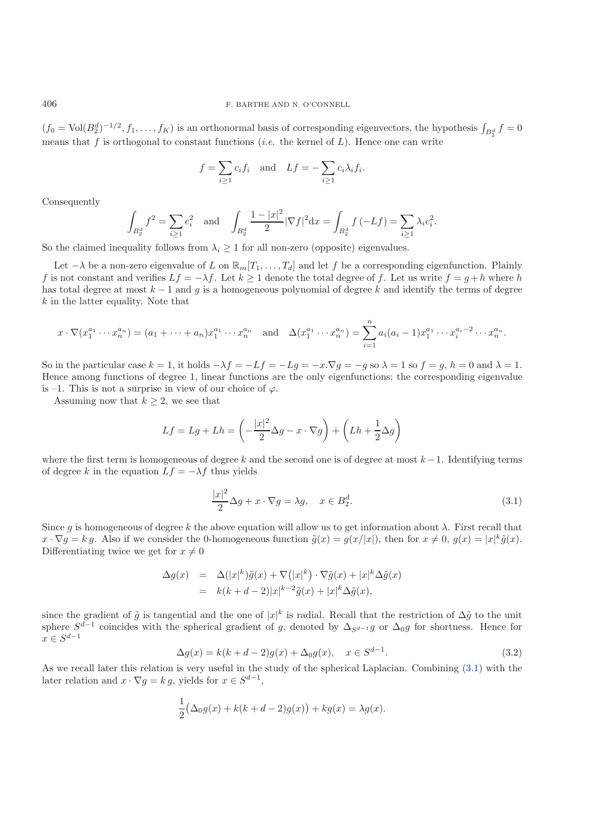$(f_0 = \text{Vol}(B_2^d)^{-1/2}, f_1, \ldots, f_K)$  is an orthonormal basis of corresponding eigenvectors, the hypothesis  $\int_{B_2^d} f = 0$ means that f is orthogonal to constant functions (*i.e.* the kernel of  $L$ ). Hence one can write

$$
f = \sum_{i \ge 1} c_i f_i
$$
 and  $Lf = -\sum_{i \ge 1} c_i \lambda_i f_i$ .

Consequently

$$
\int_{B_2^d} f^2 = \sum_{i \ge 1} c_i^2 \quad \text{and} \quad \int_{B_2^d} \frac{1 - |x|^2}{2} |\nabla f|^2 \, dx = \int_{B_2^d} f \left( -Lf \right) = \sum_{i \ge 1} \lambda_i c_i^2.
$$

So the claimed inequality follows from  $\lambda_i \geq 1$  for all non-zero (opposite) eigenvalues.

Let  $-\lambda$  be a non-zero eigenvalue of L on  $\mathbb{R}_m[T_1,\ldots,T_d]$  and let f be a corresponding eigenfunction. Plainly f is not constant and verifies  $Lf = -\lambda f$ . Let  $k \ge 1$  denote the total degree of f. Let us write  $f = g + h$  where h has total degree at most  $k - 1$  and g is a homogeneous polynomial of degree k and identify the terms of degree k in the latter equality. Note that

$$
x \cdot \nabla (x_1^{a_1} \cdots x_n^{a_n}) = (a_1 + \cdots + a_n)x_1^{a_1} \cdots x_n^{a_n} \text{ and } \Delta (x_1^{a_1} \cdots x_n^{a_n}) = \sum_{i=1}^n a_i (a_i - 1)x_1^{a_1} \cdots x_i^{a_i - 2} \cdots x_n^{a_n}.
$$

So in the particular case  $k = 1$ , it holds  $-\lambda f = -Lf = -Lg = -x.\nabla g = -g$  so  $\lambda = 1$  so  $f = g$ ,  $h = 0$  and  $\lambda = 1$ . Hence among functions of degree 1, linear functions are the only eigenfunctions; the corresponding eigenvalue is –1. This is not a surprise in view of our choice of  $\varphi$ .

Assuming now that  $k \geq 2$ , we see that

<span id="page-6-0"></span>
$$
Lf = Lg + Lh = \left(-\frac{|x|^2}{2}\Delta g - x \cdot \nabla g\right) + \left(Lh + \frac{1}{2}\Delta g\right)
$$

where the first term is homogeneous of degree k and the second one is of degree at most  $k-1$ . Identifying terms of degree k in the equation  $Lf = -\lambda f$  thus yields

$$
\frac{|x|^2}{2}\Delta g + x \cdot \nabla g = \lambda g, \quad x \in B_2^d.
$$
\n(3.1)

<span id="page-6-1"></span>Since g is homogeneous of degree k the above equation will allow us to get information about  $\lambda$ . First recall that  $x \cdot \nabla g = k g$ . Also if we consider the 0-homogeneous function  $\tilde{g}(x) = g(x/|x|)$ , then for  $x \neq 0$ ,  $g(x) = |x|^k \tilde{g}(x)$ . Differentiating twice we get for  $x \neq 0$ 

$$
\Delta g(x) = \Delta (|x|^k) \tilde{g}(x) + \nabla (|x|^k) \cdot \nabla \tilde{g}(x) + |x|^k \Delta \tilde{g}(x)
$$
  
=  $k(k + d - 2)|x|^{k-2} \tilde{g}(x) + |x|^k \Delta \tilde{g}(x),$ 

since the gradient of  $\tilde{g}$  is tangential and the one of  $|x|^k$  is radial. Recall that the restriction of  $\Delta\tilde{g}$  to the unit sphere  $S^{d-1}$  coincides with the spherical gradient of g, denoted by  $\Delta_{S^{d-1}}g$  or  $\Delta_{0}g$  for shortness. Hence for  $x \in S^{d-1}$ 

$$
\Delta g(x) = k(k + d - 2)g(x) + \Delta_0 g(x), \quad x \in S^{d-1}.
$$
\n(3.2)

As we recall later this relation is very useful in the study of the spherical Laplacian. Combining [\(3.1\)](#page-6-0) with the later relation and  $x \cdot \nabla g = k g$ , yields for  $x \in S^{d-1}$ ,

$$
\frac{1}{2}(\Delta_0 g(x) + k(k+d-2)g(x)) + kg(x) = \lambda g(x).
$$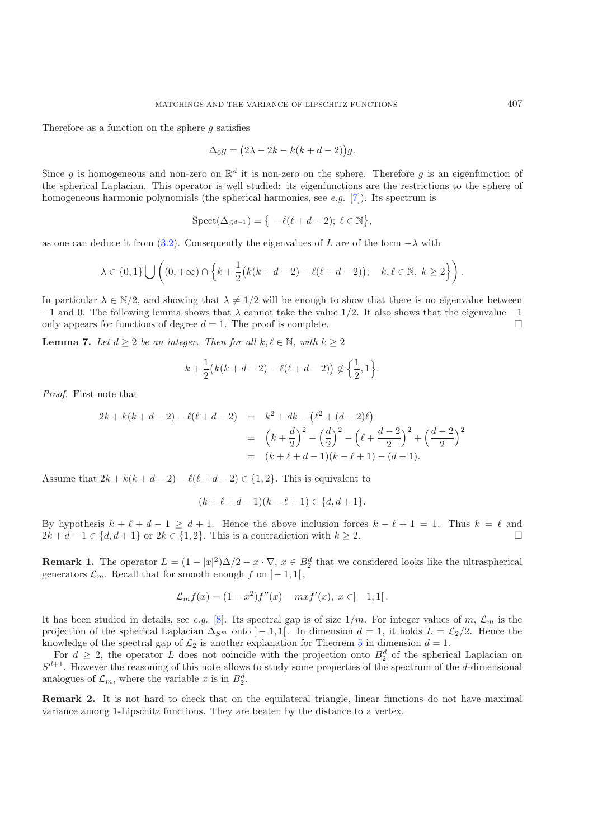Therefore as a function on the sphere  $q$  satisfies

$$
\Delta_0 g = (2\lambda - 2k - k(k + d - 2))g.
$$

Since q is homogeneous and non-zero on  $\mathbb{R}^d$  it is non-zero on the sphere. Therefore q is an eigenfunction of the spherical Laplacian. This operator is well studied: its eigenfunctions are the restrictions to the sphere of homogeneous harmonic polynomials (the spherical harmonics, see *e.g.* [\[7\]](#page-8-11)). Its spectrum is

$$
\operatorname{Spect}(\Delta_{S^{d-1}}) = \big\{ -\ell(\ell+d-2); \ \ell \in \mathbb{N} \big\},\
$$

as one can deduce it from [\(3.2\)](#page-6-1). Consequently the eigenvalues of L are of the form  $-\lambda$  with

$$
\lambda \in \{0,1\} \bigcup \left( (0,+\infty) \cap \left\{ k + \frac{1}{2} \big( k(k+d-2) - \ell(\ell+d-2) \big); \quad k,\ell \in \mathbb{N}, \ k \ge 2 \right\} \right).
$$

In particular  $\lambda \in \mathbb{N}/2$ , and showing that  $\lambda \neq 1/2$  will be enough to show that there is no eigenvalue between  $-1$  and 0. The following lemma shows that  $\lambda$  cannot take the value 1/2. It also shows that the eigenvalue  $-1$ only appears for functions of degree  $d = 1$ . The proof is complete.  $\Box$ 

**Lemma 7.** *Let*  $d \geq 2$  *be an integer. Then for all*  $k, \ell \in \mathbb{N}$ *, with*  $k \geq 2$ 

$$
k + \frac{1}{2} (k(k+d-2) - \ell(\ell+d-2)) \notin \left\{ \frac{1}{2}, 1 \right\}.
$$

*Proof.* First note that

$$
2k + k(k + d - 2) - \ell(\ell + d - 2) = k^2 + dk - (\ell^2 + (d - 2)\ell)
$$
  
=  $(k + \frac{d}{2})^2 - (\frac{d}{2})^2 - (\ell + \frac{d - 2}{2})^2 + (\frac{d - 2}{2})^2$   
=  $(k + \ell + d - 1)(k - \ell + 1) - (d - 1).$ 

Assume that  $2k + k(k + d - 2) - \ell(\ell + d - 2) \in \{1, 2\}$ . This is equivalent to

$$
(k + \ell + d - 1)(k - \ell + 1) \in \{d, d + 1\}.
$$

By hypothesis  $k + \ell + d - 1 \geq d + 1$ . Hence the above inclusion forces  $k - \ell + 1 = 1$ . Thus  $k = \ell$  and  $2k + d - 1 \in \{d, d + 1\}$  or  $2k \in \{1, 2\}$ . This is a contradiction with  $k \geq 2$ .

**Remark 1.** The operator  $L = (1 - |x|^2) \Delta/2 - x \cdot \nabla$ ,  $x \in B_2^d$  that we considered looks like the ultraspherical generators  $\mathcal{L}_m$ . Recall that for smooth enough f on  $]-1,1[$ ,

$$
\mathcal{L}_m f(x) = (1 - x^2) f''(x) - m x f'(x), \ x \in ]-1,1[.
$$

It has been studied in details, see *e.g.* [\[8](#page-8-12)]. Its spectral gap is of size  $1/m$ . For integer values of m,  $\mathcal{L}_m$  is the projection of the spherical Laplacian  $\Delta_{S^m}$  onto  $]-1,1[$ . In dimension  $d=1$ , it holds  $L=\mathcal{L}_2/2$ . Hence the knowledge of the spectral gap of  $\mathcal{L}_2$  is another explanation for Theorem [5](#page-5-0) in dimension  $d = 1$ .

For  $d \geq 2$ , the operator L does not coincide with the projection onto  $B_2^d$  of the spherical Laplacian on  $S^{d+1}$ . However the reasoning of this note allows to study some properties of the spectrum of the d-dimensional analogues of  $\mathcal{L}_m$ , where the variable x is in  $B_2^d$ .

**Remark 2.** It is not hard to check that on the equilateral triangle, linear functions do not have maximal variance among 1-Lipschitz functions. They are beaten by the distance to a vertex.